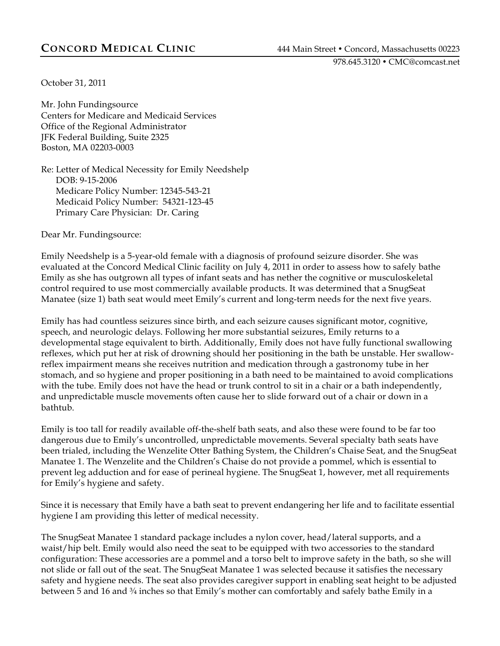978.645.3120 • CMC@comcast.net

October 31, 2011

Mr. John Fundingsource Centers for Medicare and Medicaid Services Office of the Regional Administrator JFK Federal Building, Suite 2325 Boston, MA 02203-0003

Re: Letter of Medical Necessity for Emily Needshelp DOB: 9-15-2006 Medicare Policy Number: 12345-543-21 Medicaid Policy Number: 54321-123-45 Primary Care Physician: Dr. Caring

Dear Mr. Fundingsource:

Emily Needshelp is a 5-year-old female with a diagnosis of profound seizure disorder. She was evaluated at the Concord Medical Clinic facility on July 4, 2011 in order to assess how to safely bathe Emily as she has outgrown all types of infant seats and has nether the cognitive or musculoskeletal control required to use most commercially available products. It was determined that a SnugSeat Manatee (size 1) bath seat would meet Emily's current and long-term needs for the next five years.

Emily has had countless seizures since birth, and each seizure causes significant motor, cognitive, speech, and neurologic delays. Following her more substantial seizures, Emily returns to a developmental stage equivalent to birth. Additionally, Emily does not have fully functional swallowing reflexes, which put her at risk of drowning should her positioning in the bath be unstable. Her swallowreflex impairment means she receives nutrition and medication through a gastronomy tube in her stomach, and so hygiene and proper positioning in a bath need to be maintained to avoid complications with the tube. Emily does not have the head or trunk control to sit in a chair or a bath independently, and unpredictable muscle movements often cause her to slide forward out of a chair or down in a bathtub.

Emily is too tall for readily available off-the-shelf bath seats, and also these were found to be far too dangerous due to Emily's uncontrolled, unpredictable movements. Several specialty bath seats have been trialed, including the Wenzelite Otter Bathing System, the Children's Chaise Seat, and the SnugSeat Manatee 1. The Wenzelite and the Children's Chaise do not provide a pommel, which is essential to prevent leg adduction and for ease of perineal hygiene. The SnugSeat 1, however, met all requirements for Emily's hygiene and safety.

Since it is necessary that Emily have a bath seat to prevent endangering her life and to facilitate essential hygiene I am providing this letter of medical necessity.

The SnugSeat Manatee 1 standard package includes a nylon cover, head/lateral supports, and a waist/hip belt. Emily would also need the seat to be equipped with two accessories to the standard configuration: These accessories are a pommel and a torso belt to improve safety in the bath, so she will not slide or fall out of the seat. The SnugSeat Manatee 1 was selected because it satisfies the necessary safety and hygiene needs. The seat also provides caregiver support in enabling seat height to be adjusted between 5 and 16 and <sup>3</sup>/4 inches so that Emily's mother can comfortably and safely bathe Emily in a